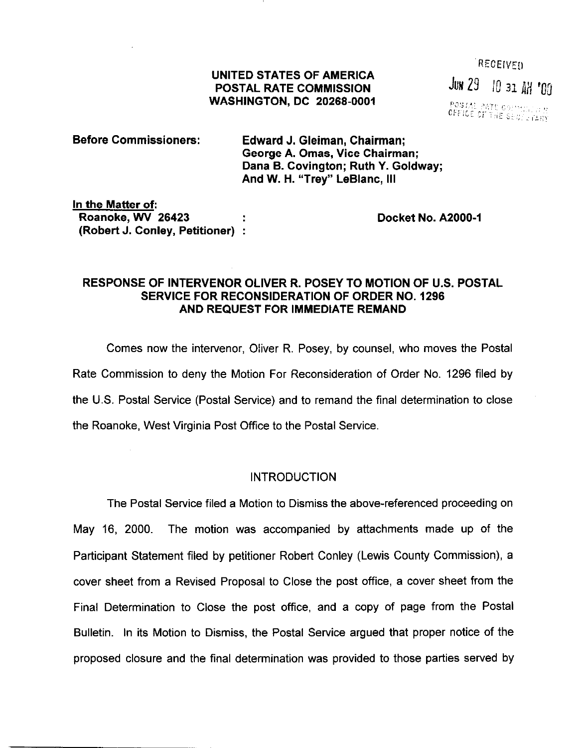### UNITED STATES OF AMERICA POSTAL RATE COMMISSION WASHINGTON, DC 20266-0001

RECEIVED JUN 29 10 31 AM '00 POSTAL PATE 09:11:11:11:12<br>OFFICE OF THE SECOLOGIARY

| Before Commissioners: | Edward J. Gleiman, Chairman;                                          |
|-----------------------|-----------------------------------------------------------------------|
|                       | George A. Omas, Vice Chairman;<br>Dana B. Covington; Ruth Y. Goldway; |
|                       | And W. H. "Trey" LeBlanc, III                                         |

In the Matter of: Roanoke, WV 26423 (Robert J. Conley, Petitioner) :

Docket No. A2000-1

## RESPONSE OF INTERVENOR OLIVER R. POSEY TO MOTION OF U.S. POSTAL SERVICE FOR RECONSIDERATION OF ORDER NO. 1296 AND REQUEST FOR IMMEDIATE REMAND

Comes now the intervenor, Ofiver R. Posey, by counsel, who moves the Postal Rate Commission to deny the Motion For Reconsideration of Order No. 1296 filed by the U.S. Postal Service (Postal Service) and to remand the final determination to close the Roanoke, West Virginia Post Office to the Postal Service.

### INTRODUCTION

The Postal Service filed a Motion to Dismiss the above-referenced proceeding on May 16, 2000. The motion was accompanied by attachments made up of the Participant Statement filed by petitioner Robert Conley (Lewis County Commission), a cover sheet from a Revised Proposal to Close the post office, a cover sheet from the Final Determination to Close the post office, and a copy of page from the Postal Bulletin. In its Motion to Dismiss, the Postal Service argued that proper notice of the proposed closure and the final determination was provided to those parties served by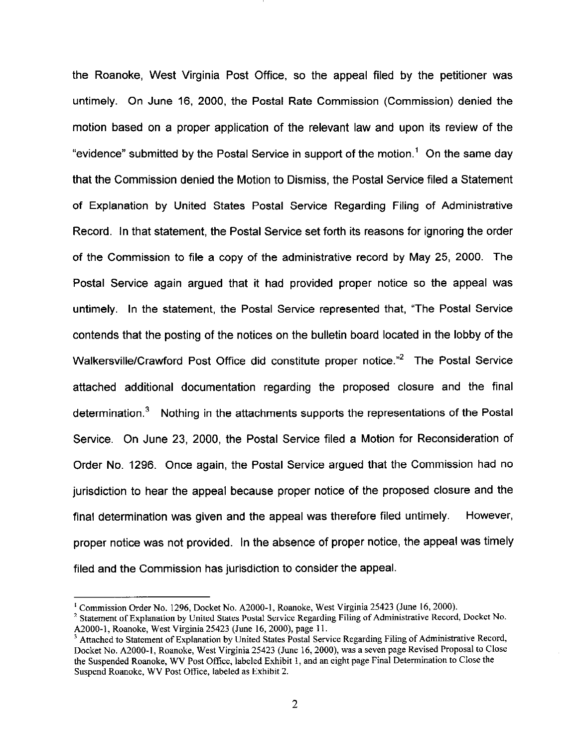the Roanoke, West Virginia Post Office, so the appeal filed by the petitioner was untimely. On June 16, 2000, the Postal Rate Commission (Commission) denied the motion based on a proper application of the relevant law and upon its review of the "evidence" submitted by the Postal Service in support of the motion.' On the same day that the Commission denied the Motion to Dismiss, the Postal Service filed a Statement of Explanation by United States Postal Service Regarding Filing of Administrative Record. In that statement, the Postal Service set forth its reasons for ignoring the order of the Commission to file a copy of the administrative record by May 25, 2000. The Postal Service again argued that it had provided proper notice so the appeal was untimely. In the statement, the Postal Service represented that, "The Postal Service contends that the posting of the notices on the bulletin board located in the lobby of the Walkersville/Crawford Post Office did constitute proper notice.<sup>"2</sup> The Postal Service attached additional documentation regarding the proposed closure and the final determination.3 Nothing in the attachments supports the representations of the Postal Service. On June 23, 2000, the Postal Service filed a Motion for Reconsideration of Order No. 1296. Once again, the Postal Service argued that the Commission had no jurisdiction to hear the appeal because proper notice of the proposed closure and the final determination was given and the appeal was therefore filed untimely. However, proper notice was not provided. In the absence of proper notice, the appeal was timely filed and the Commission has jurisdiction to consider the appeal

<sup>&#</sup>x27; Commission Order No. 1296, Docket No. A2000-1, Roanoke, West Virginia 25423 (June 16,200O).

<sup>&</sup>lt;sup>2</sup> Statement of Explanation by United States Postal Service Regarding Filing of Administrative Record, Docket No. A2000-I, Roanoke, West Virginia 25423 (June 16,2000), page Il.

<sup>&</sup>lt;sup>3</sup> Attached to Statement of Explanation by United States Postal Service Regarding Filing of Administrative Record, Docket No. A2000-1, Roanoke, West Virginia 25423 (June 16,2000), was a seven page Revised Proposal to Close the Suspended Roanoke, WV Post Office, labeled Exhibit 1, and an eight page Final Determination to Close the Suspend Roanoke, WV Post Office, labeled as Exhibit 2.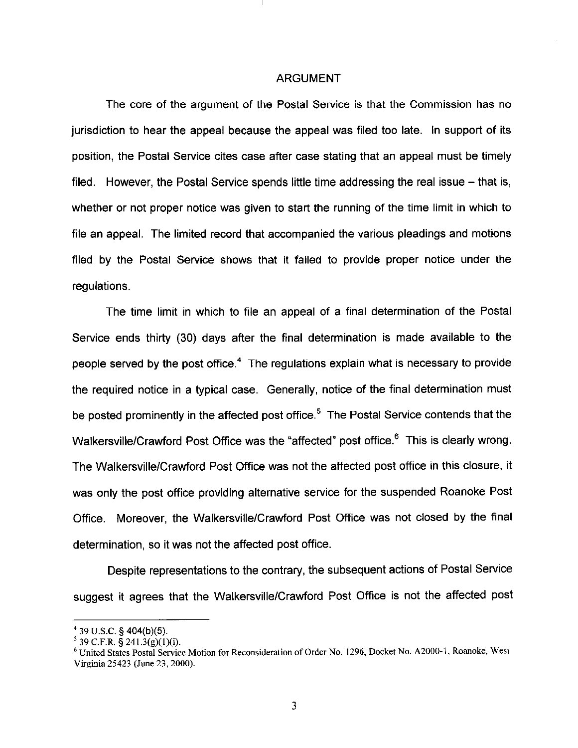#### ARGUMENT

The core of the argument of the Postal Service is that the Commission has no jurisdiction to hear the appeal because the appeal was filed too late. In support of its position, the Postal Service cites case after case stating that an appeal must be timely filed. However, the Postal Service spends little time addressing the real issue  $-$  that is, whether or not proper notice was given to start the running of the time limit in which to file an appeal. The limited record that accompanied the various pleadings and motions filed by the Postal Service shows that it failed to provide proper notice under the regulations.

The time limit in which to file an appeal of a final determination of the Postal Service ends thirty (30) days after the final determination is made available to the people served by the post office.<sup>4</sup> The regulations explain what is necessary to provide the required notice in a typical case. Generally, notice of the final determination must be posted prominently in the affected post office.<sup>5</sup> The Postal Service contends that the Walkersville/Crawford Post Office was the "affected" post office.<sup>6</sup> This is clearly wrong. The WalkersvillelCrawford Post Office was not the affected post office in this closure, it was only the post office providing alternative service for the suspended Roanoke Post Office. Moreover, the Walkersville/Crawford Post Office was not closed by the final determination, so it was not the affected post office.

Despite representations to the contrary, the subsequent actions of Postal Service suggest it agrees that the WalkersvillelCrawford Post Office is not the affected post

<sup>&</sup>lt;sup>4</sup> 39 U.S.C. § 404(b)

 $^5$  39 C.F.R. § 241.3(g)(1)(i

<sup>6</sup> United States Postal Service Motion for Reconsideration of Order No. 1296, Docket No. A2000-1, Romoke, West Virginia 25423 (June 23,200O)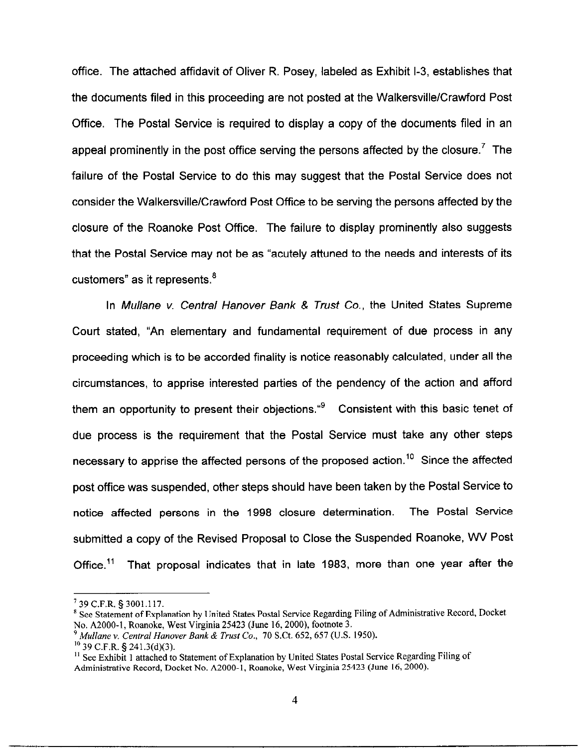office. The attached affidavit of Oliver R. Posey, labeled as Exhibit l-3, establishes that the documents filed in this proceeding are not posted at the Walkersville/Crawford Post Office. The Postal Service is required to display a copy of the documents filed in an appeal prominently in the post office serving the persons affected by the closure.<sup>7</sup> The failure of the Postal Service to do this may suggest that the Postal Service does not consider the WalkersvillelCrawford Post Office to be serving the persons affected by the closure of the Roanoke Post Office. The failure to display prominently also suggests that the Postal Service may not be as "acutely attuned to the needs and interests of its customers" as it represents.'

In Mullane v. Central Hanover Bank & Trust Co., the United States Supreme Court stated, "An elementary and fundamental requirement of due process in any proceeding which is to be accorded finality is notice reasonably calculated, under all the circumstances, to apprise interested parties of the pendency of the action and afford them an opportunity to present their objections. $49$  Consistent with this basic tenet of due process is the requirement that the Postal Service must take any other steps necessary to apprise the affected persons of the proposed action.<sup>10</sup> Since the affected post office was suspended, other steps should have been taken by the Postal Service to notice affected persons in the 1998 closure determination. The Postal Service submitted a copy of the Revised Proposal to Close the Suspended Roanoke, WV Post Office.<sup>11</sup> That proposal indicates that in late 1983, more than one year after the

<sup>&#</sup>x27;39 C.F.R. § 3001.117.

<sup>\*</sup> See Statement of Explanation by United States Postal Service Regarding Filing of Administrative Record, Docket No. A2000-1, Roanoke, West Virginia 25423 (June 16,2000), footnote 3.

 $9$  Mullane v. Central Hanover Bank & Trust Co., 70 S.Ct. 652, 657 (U.S. 1950).

 $10$  39 C.F.R. § 241.3(d)(3).

<sup>&</sup>lt;sup>11</sup> See Exhibit 1 attached to Statement of Explanation by United States Postal Service Regarding Filing of Administrative Record, Docket No. A2000-1, Roanoke, West Virginia 25423 (June 16, 2000).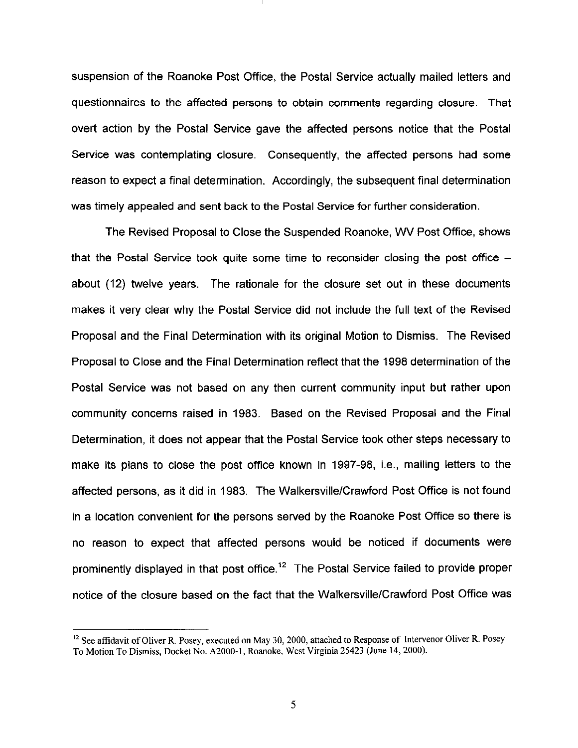suspension of the Roanoke Post Office, the Postal Service actually mailed letters and questionnaires to the affected persons to obtain comments regarding closure. That overt action by the Postal Service gave the affected persons notice that the Postal Service was contemplating closure. Consequently, the affected persons had some reason to expect a final determination. Accordingly, the subsequent final determination was timely appealed and sent back to the Postal Service for further consideration.

The Revised Proposal to Close the Suspended Roanoke, WV Post Office, shows that the Postal Service took quite some time to reconsider closing the post office about (12) twelve years. The rationale for the closure set out in these documents makes it very clear why the Postal Service did not include the full text of the Revised Proposal and the Final Determination with its original Motion to Dismiss. The Revised Proposal to Close and the Final Determination reflect that the 1998 determination of the Postal Service was not based on any then current community input but rather upon community concerns raised in 1983. Based on the Revised Proposal and the Final Determination, it does not appear that the Postal Service took other steps necessary to make its plans to close the post office known in 1997-98, i.e., mailing letters to the affected persons, as it did in 1983. The Walkersville/Crawford Post Office is not found in a location convenient for the persons served by the Roanoke Post Office so there is no reason to expect that affected persons would be noticed if documents were prominently displayed in that post office.<sup>12</sup> The Postal Service failed to provide proper notice of the closure based on the fact that the WalkersvillelCrawford Post Office was

 $12$  See affidavit of Oliver R. Posey, executed on May 30, 2000, attached to Response of Intervenor Oliver R. Posey To Motion To Dismiss, Docket No. AZOOO-1, Roanoke, West Virginia 25423 (June 14, 2000).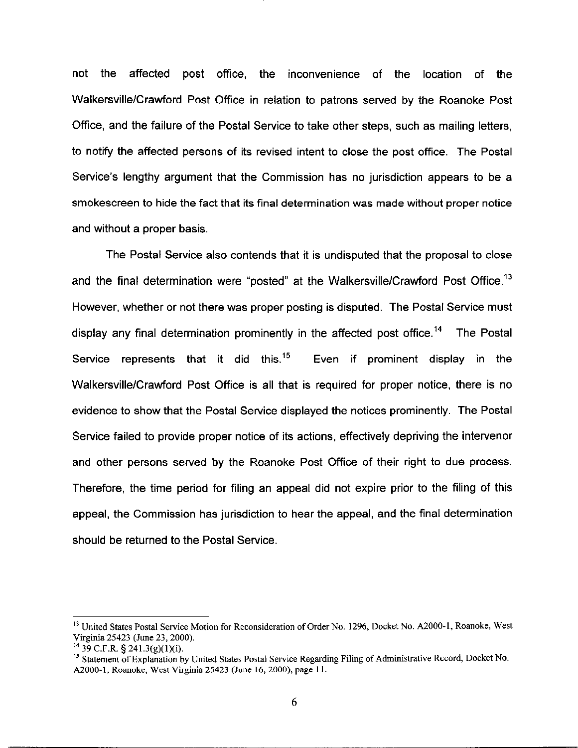not the affected post office, the inconvenience of the location of the Walkersville/Crawford Post Office in relation to patrons served by the Roanoke Post Office, and the failure of the Postal Service to take other steps, such as mailing letters, to notify the affected persons of its revised intent to close the post office. The Postal Service's lengthy argument that the Commission has no jurisdiction appears to be a smokescreen to hide the fact that its final determination was made without proper notice and without a proper basis.

The Postal Service also contends that it is undisputed that the proposal to close and the final determination were "posted" at the Walkersville/Crawford Post Office.<sup>13</sup> However, whether or not there was proper posting is disputed. The Postal Service must display any final determination prominently in the affected post office.<sup>14</sup> The Postal Service represents that it did this.<sup>15</sup> Even if prominent display in the Walkersville/Crawford Post Office is all that is required for proper notice, there is no evidence to show that the Postal Service displayed the notices prominently. The Postal Service failed to provide proper notice of its actions, effectively depriving the intervenor and other persons served by the Roanoke Post Office of their right to due process. Therefore, the time period for filing an appeal did not expire prior to the filing of this appeal, the Commission has jurisdiction to hear the appeal, and the final determination should be returned to the Postal Service.

<sup>&</sup>lt;sup>13</sup> United States Postal Service Motion for Reconsideration of Order No. 1296, Docket No. A2000-1, Roanoke, West Virginia 25423 (June 23,200O).

 $14$  39 C.F.R. § 241.3(g)(1)(i).

<sup>&</sup>lt;sup>15</sup> Statement of Explanation by United States Postal Service Regarding Filing of Administrative Record, Docket No. AZOOO-1, Roanoke, West Virginia 25423 (June 16, ZOOO), page 11.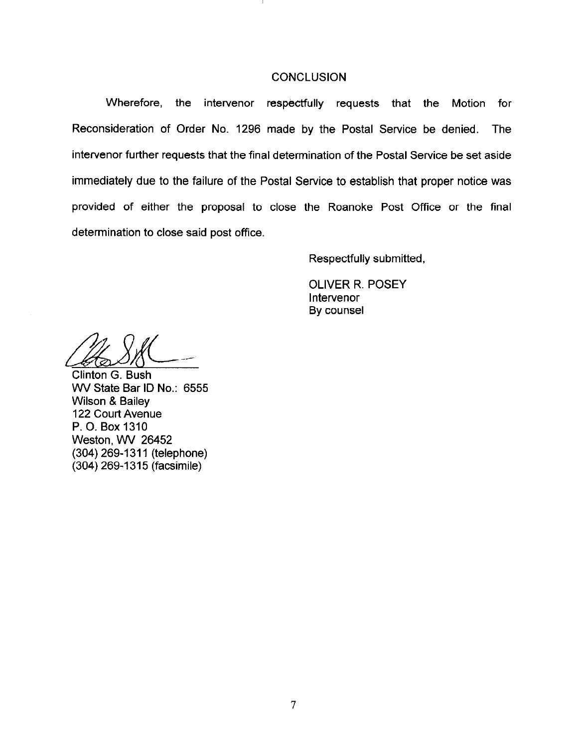#### **CONCLUSION**

Wherefore, the intervenor respectfully requests that the Motion for Reconsideration of Order No. 1298 made by the Postal Service be denied. The intervenor further requests that the final determination of the Postal Service be set aside immediately due to the failure of the Postal Service to establish that proper notice was provided of either the proposal to close the Roanoke Post Office or the final determination to close said post office.

Respectfully submitted,

OLIVER R. POSEY lntervenor By counsel

Clinton G. Bush WV State Bar ID No.: 6555 Wilson & Bailey 122 Court Avenue P. 0. Box 1310 Weston, WV 26452 (304) 269-1311 (telephone) (304) 269-l 315 (facsimile)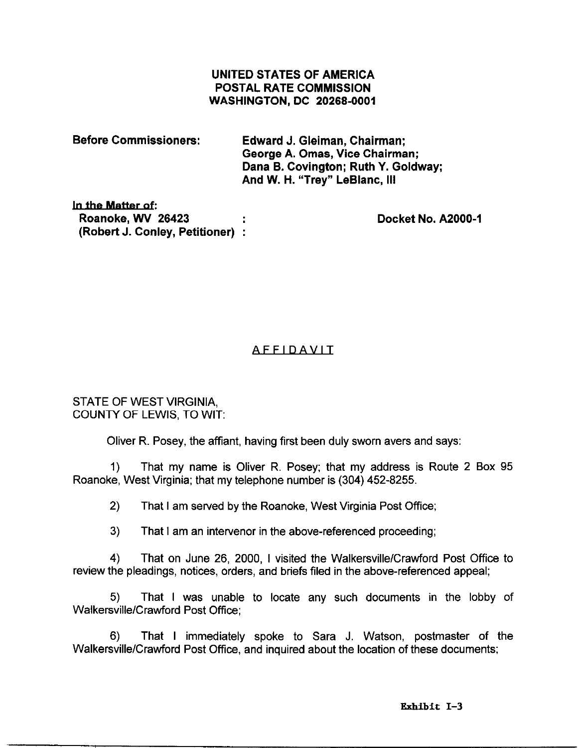## UNITED STATES OF AMERICA POSTAL RATE COMMISSION WASHINGTON, DC 20266-0001

| <b>Before Commissioners:</b> | <b>Edward J. Gleiman, Chairman:</b><br>George A. Omas, Vice Chairman;<br>Dana B. Covington; Ruth Y. Goldway;<br>And W. H. "Trey" LeBlanc, III |
|------------------------------|-----------------------------------------------------------------------------------------------------------------------------------------------|
| In the Matter of:            |                                                                                                                                               |

In Roanoke, WV 26423 (Robert J. Conley, Petitioner) i

Docket No. A2000-1

# AFFIDAVIT

STATE OF WEST VIRGINIA, COUNTY OF LEWIS, TO WIT:

Oliver R. Posey, the affiant, having first been duly sworn avers and says:

1) That my name is Oliver R. Posey; that my address is Route 2 Box 95 Roanoke, West Virginia; that my telephone number is (304) 452-8255.

2) That I am served by the Roanoke, West Virginia Post Office;

3) That I am an intervenor in the above-referenced proceeding;

4) That on June 26, 2000, I visited the Walkersville/Crawford Post Office to review the pleadings, notices, orders, and briefs filed in the above-referenced appeal;

5) That I was unable to locate any such documents in the lobby of Walkersville/Crawford Post Office;

6) That I immediately spoke to Sara J. Watson, postmaster of the Walkersville/Crawford Post Office, and inquired about the location of these documents;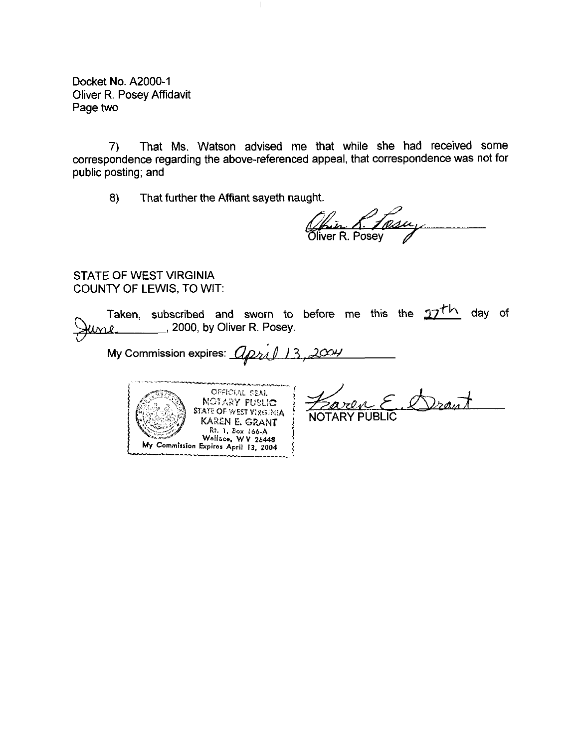Docket No. A2000-1 Oliver R. Posey Affidavit Page two

7) That Ms. Watson advised me that while she had received some correspondence regarding the above-referenced appeal, that correspondence was not for public posting; and

 $\mathbf{I}$ 

8) That further the Affiant sayeth naught.

Akin A. 10<br>Oliver R. Posey

## STATE OF WEST VIRGINIA COUNTY OF LEWIS, TO WIT:

h

Taken, subscribed and sworn to before me this the  $27^{th}$  day of 2000, by Oliver R. Posey.

My Commission expires:  $U$   $\beta$   $\gamma$   $\beta$   $\beta$ 



Drawt